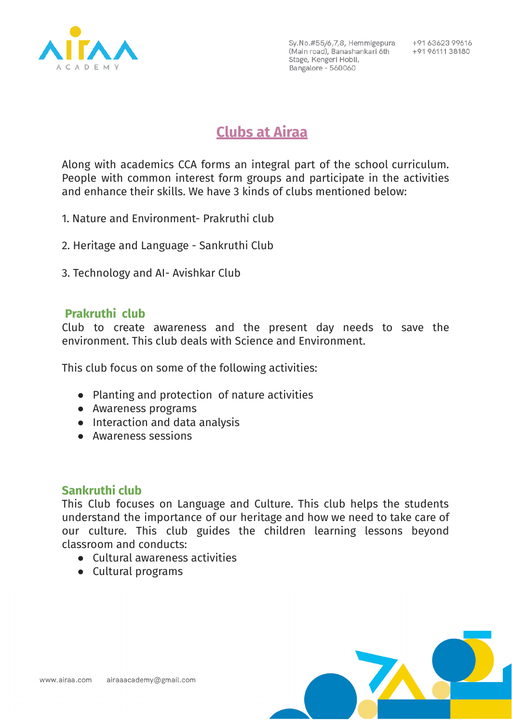

Sy.No.#55/6,7,8, Hemmigepura (Main road), Banashankari 6th Stage, Kengeri Hobli, Bangalore - 560060

+91 63623 99616 +91 96111 38180

## **Clubs at Airaa**

Along with academics CCA forms an integral part of the school curriculum. People with common interest form groups and participate in the activities and enhance their skills. We have 3 kinds of clubs mentioned below:

- 1. Nature and Environment- Prakruthi club
- 2. Heritage and Language Sankruthi Club
- 3. Technology and AI- Avishkar Club

## **Prakruthi club**

Club to create awareness and the present day needs to save the environment. This club deals with Science and Environment.

This club focus on some of the following activities:

- Planting and protection of nature activities
- Awareness programs
- Interaction and data analysis
- Awareness sessions

## **Sankruthi club**

This Club focuses on Language and Culture. This club helps the students understand the importance of our heritage and how we need to take care of our culture. This club guides the children learning lessons beyond classroom and conducts:

- Cultural awareness activities
- Cultural programs